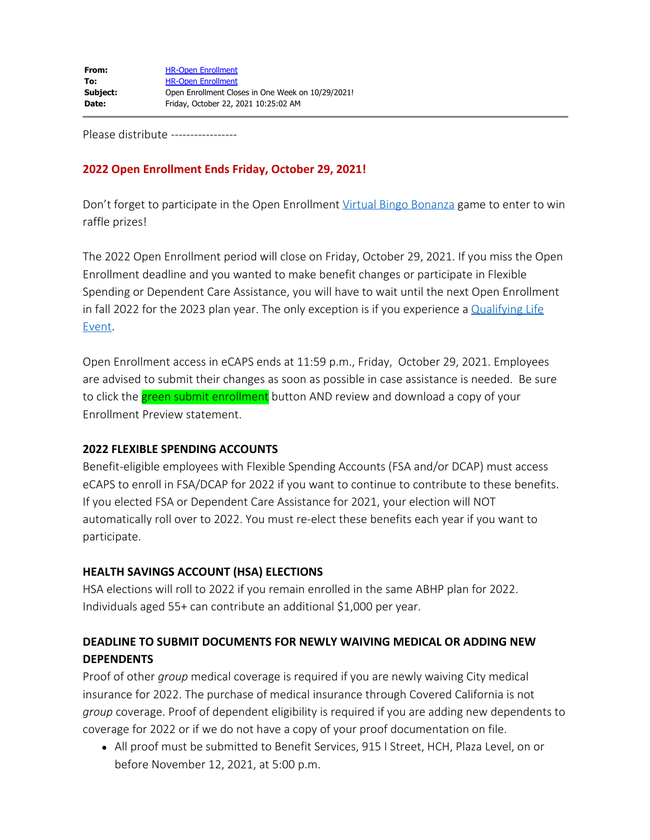Please distribute -----------------

## **2022 Open Enrollment Ends Friday, October 29, 2021!**

Don't forget to participate in the Open Enrollment [Virtual Bingo Bonanza](http://www.cityofsacramento.org/-/media/Corporate/Files/HR/Divisions/Benefits/2022-OE/2022OE_virtual_bonanza_bingo.pdf?la=en) game to enter to win raffle prizes!

The 2022 Open Enrollment period will close on Friday, October 29, 2021. If you miss the Open Enrollment deadline and you wanted to make benefit changes or participate in Flexible Spending or Dependent Care Assistance, you will have to wait until the next Open Enrollment in fall 2022 for the 2023 plan year. The only exception is if you experience a [Qualifying Life](http://www.cityofsacramento.org/-/media/Corporate/Files/HR/Divisions/Benefits/Qualifying-Life-Event---Midyear-Election-Changes.pdf?la=en) [Event](http://www.cityofsacramento.org/-/media/Corporate/Files/HR/Divisions/Benefits/Qualifying-Life-Event---Midyear-Election-Changes.pdf?la=en).

Open Enrollment access in eCAPS ends at 11:59 p.m., Friday, October 29, 2021. Employees are advised to submit their changes as soon as possible in case assistance is needed. Be sure to click the green submit enrollment button AND review and download a copy of your Enrollment Preview statement.

#### **2022 FLEXIBLE SPENDING ACCOUNTS**

Benefit-eligible employees with Flexible Spending Accounts (FSA and/or DCAP) must access eCAPS to enroll in FSA/DCAP for 2022 if you want to continue to contribute to these benefits. If you elected FSA or Dependent Care Assistance for 2021, your election will NOT automatically roll over to 2022. You must re-elect these benefits each year if you want to participate.

#### **HEALTH SAVINGS ACCOUNT (HSA) ELECTIONS**

HSA elections will roll to 2022 if you remain enrolled in the same ABHP plan for 2022. Individuals aged 55+ can contribute an additional \$1,000 per year.

# **DEADLINE TO SUBMIT DOCUMENTS FOR NEWLY WAIVING MEDICAL OR ADDING NEW DEPENDENTS**

Proof of other *group* medical coverage is required if you are newly waiving City medical insurance for 2022. The purchase of medical insurance through Covered California is not *group* coverage. Proof of dependent eligibility is required if you are adding new dependents to coverage for 2022 or if we do not have a copy of your proof documentation on file.

All proof must be submitted to Benefit Services, 915 I Street, HCH, Plaza Level, on or before November 12, 2021, at 5:00 p.m.